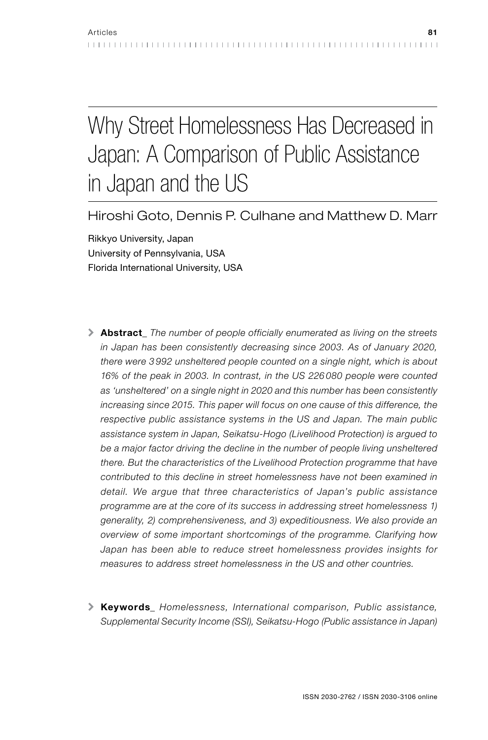# Why Street Homelessness Has Decreased in Japan: A Comparison of Public Assistance in Japan and the US

Hiroshi Goto, Dennis P. Culhane and Matthew D. Marr

Rikkyo University, Japan University of Pennsylvania, USA Florida International University, USA

- \ Abstract*\_ The number of people officially enumerated as living on the streets in Japan has been consistently decreasing since 2003. As of January 2020, there were 3 992 unsheltered people counted on a single night, which is about 16% of the peak in 2003. In contrast, in the US 226 080 people were counted as 'unsheltered' on a single night in 2020 and this number has been consistently increasing since 2015. This paper will focus on one cause of this difference, the respective public assistance systems in the US and Japan. The main public assistance system in Japan, Seikatsu-Hogo (Livelihood Protection) is argued to be a major factor driving the decline in the number of people living unsheltered there. But the characteristics of the Livelihood Protection programme that have contributed to this decline in street homelessness have not been examined in detail. We argue that three characteristics of Japan's public assistance programme are at the core of its success in addressing street homelessness 1) generality, 2) comprehensiveness, and 3) expeditiousness. We also provide an overview of some important shortcomings of the programme. Clarifying how Japan has been able to reduce street homelessness provides insights for measures to address street homelessness in the US and other countries.*
- \ Keywords*\_ Homelessness, International comparison, Public assistance, Supplemental Security Income (SSI), Seikatsu-Hogo (Public assistance in Japan)*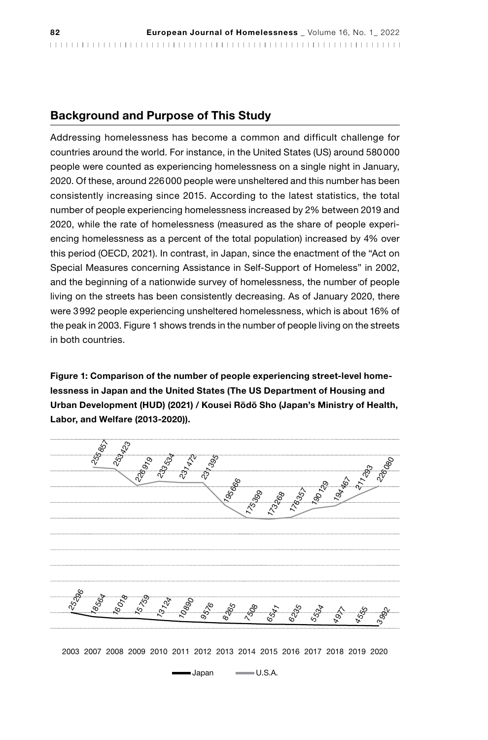## Background and Purpose of This Study

Addressing homelessness has become a common and difficult challenge for countries around the world. For instance, in the United States (US) around 580000 people were counted as experiencing homelessness on a single night in January, 2020. Of these, around 226000 people were unsheltered and this number has been consistently increasing since 2015. According to the latest statistics, the total number of people experiencing homelessness increased by 2% between 2019 and 2020, while the rate of homelessness (measured as the share of people experiencing homelessness as a percent of the total population) increased by 4% over this period (OECD, 2021). In contrast, in Japan, since the enactment of the "Act on Special Measures concerning Assistance in Self-Support of Homeless" in 2002, and the beginning of a nationwide survey of homelessness, the number of people living on the streets has been consistently decreasing. As of January 2020, there were 3992 people experiencing unsheltered homelessness, which is about 16% of the peak in 2003. Figure 1 shows trends in the number of people living on the streets in both countries.

Figure 1: Comparison of the number of people experiencing street-level homelessness in Japan and the United States (The US Department of Housing and Urban Development (HUD) (2021) / Kousei Rōdō Sho (Japan's Ministry of Health, Labor, and Welfare (2013-2020)).

| <br> |   |  |  |
|------|---|--|--|
|      | ↖ |  |  |
|      |   |  |  |
|      |   |  |  |
|      |   |  |  |
|      |   |  |  |

2003 2007 2008 2009 2010 2011 2012 2013 2014 2015 2016 2017 2018 2019 2020

 $\blacksquare$  Japan  $\blacksquare$  U.S.A.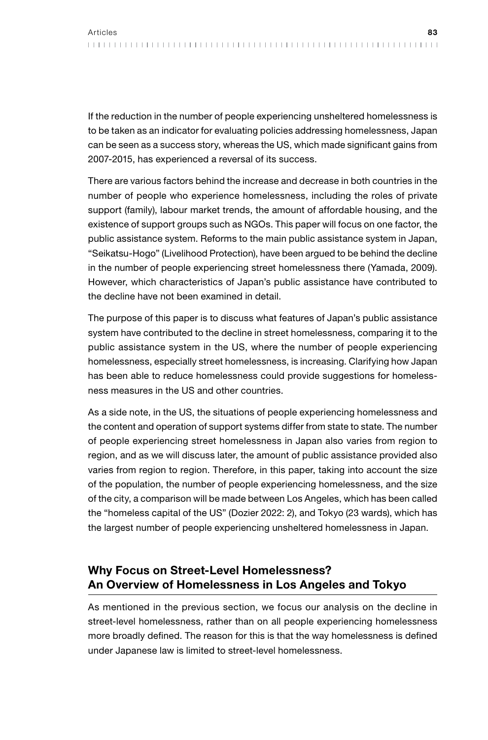If the reduction in the number of people experiencing unsheltered homelessness is to be taken as an indicator for evaluating policies addressing homelessness, Japan can be seen as a success story, whereas the US, which made significant gains from 2007-2015, has experienced a reversal of its success.

There are various factors behind the increase and decrease in both countries in the number of people who experience homelessness, including the roles of private support (family), labour market trends, the amount of affordable housing, and the existence of support groups such as NGOs. This paper will focus on one factor, the public assistance system. Reforms to the main public assistance system in Japan, "Seikatsu-Hogo" (Livelihood Protection), have been argued to be behind the decline in the number of people experiencing street homelessness there (Yamada, 2009). However, which characteristics of Japan's public assistance have contributed to the decline have not been examined in detail.

The purpose of this paper is to discuss what features of Japan's public assistance system have contributed to the decline in street homelessness, comparing it to the public assistance system in the US, where the number of people experiencing homelessness, especially street homelessness, is increasing. Clarifying how Japan has been able to reduce homelessness could provide suggestions for homelessness measures in the US and other countries.

As a side note, in the US, the situations of people experiencing homelessness and the content and operation of support systems differ from state to state. The number of people experiencing street homelessness in Japan also varies from region to region, and as we will discuss later, the amount of public assistance provided also varies from region to region. Therefore, in this paper, taking into account the size of the population, the number of people experiencing homelessness, and the size of the city, a comparison will be made between Los Angeles, which has been called the "homeless capital of the US" (Dozier 2022: 2), and Tokyo (23 wards), which has the largest number of people experiencing unsheltered homelessness in Japan.

## Why Focus on Street-Level Homelessness? An Overview of Homelessness in Los Angeles and Tokyo

As mentioned in the previous section, we focus our analysis on the decline in street-level homelessness, rather than on all people experiencing homelessness more broadly defined. The reason for this is that the way homelessness is defined under Japanese law is limited to street-level homelessness.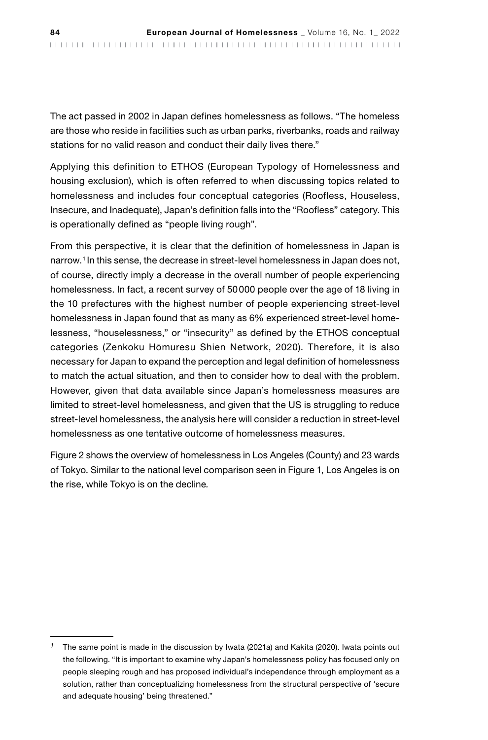The act passed in 2002 in Japan defines homelessness as follows. "The homeless are those who reside in facilities such as urban parks, riverbanks, roads and railway stations for no valid reason and conduct their daily lives there."

Applying this definition to ETHOS (European Typology of Homelessness and housing exclusion), which is often referred to when discussing topics related to homelessness and includes four conceptual categories (Roofless, Houseless, Insecure, and Inadequate), Japan's definition falls into the "Roofless" category. This is operationally defined as "people living rough".

From this perspective, it is clear that the definition of homelessness in Japan is narrow.<sup>1</sup> In this sense, the decrease in street-level homelessness in Japan does not, of course, directly imply a decrease in the overall number of people experiencing homelessness. In fact, a recent survey of 50000 people over the age of 18 living in the 10 prefectures with the highest number of people experiencing street-level homelessness in Japan found that as many as 6% experienced street-level homelessness, "houselessness," or "insecurity" as defined by the ETHOS conceptual categories (Zenkoku Hōmuresu Shien Network, 2020). Therefore, it is also necessary for Japan to expand the perception and legal definition of homelessness to match the actual situation, and then to consider how to deal with the problem. However, given that data available since Japan's homelessness measures are limited to street-level homelessness, and given that the US is struggling to reduce street-level homelessness, the analysis here will consider a reduction in street-level homelessness as one tentative outcome of homelessness measures.

Figure 2 shows the overview of homelessness in Los Angeles (County) and 23 wards of Tokyo. Similar to the national level comparison seen in Figure 1, Los Angeles is on the rise, while Tokyo is on the decline*.*

*<sup>1</sup>* The same point is made in the discussion by Iwata (2021a) and Kakita (2020). Iwata points out the following. "It is important to examine why Japan's homelessness policy has focused only on people sleeping rough and has proposed individual's independence through employment as a solution, rather than conceptualizing homelessness from the structural perspective of 'secure and adequate housing' being threatened."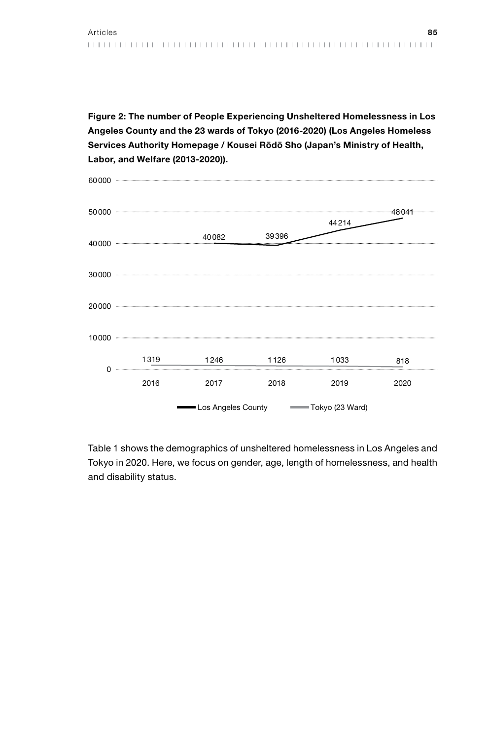Figure 2: The number of People Experiencing Unsheltered Homelessness in Los Angeles County and the 23 wards of Tokyo (2016-2020) (Los Angeles Homeless Services Authority Homepage / Kousei Rōdō Sho (Japan's Ministry of Health, Labor, and Welfare (2013-2020)).



Table 1 shows the demographics of unsheltered homelessness in Los Angeles and Tokyo in 2020. Here, we focus on gender, age, length of homelessness, and health and disability status.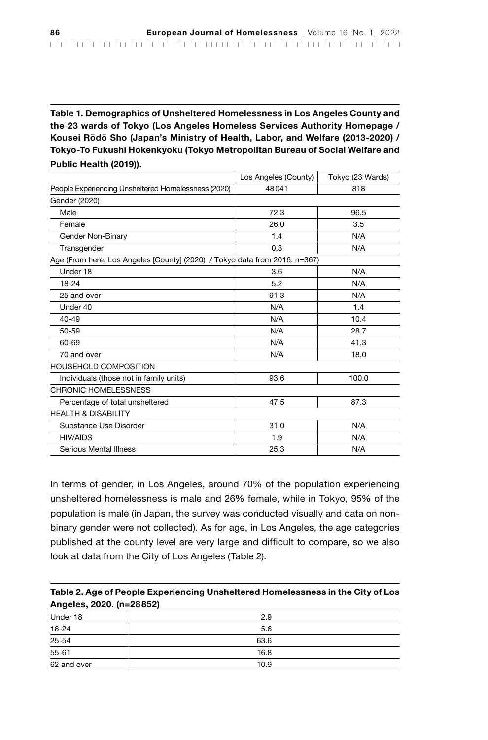Table 1. Demographics of Unsheltered Homelessness in Los Angeles County and the 23 wards of Tokyo (Los Angeles Homeless Services Authority Homepage / Kousei Rōdō Sho (Japan's Ministry of Health, Labor, and Welfare (2013-2020) / Tokyo-To Fukushi Hokenkyoku (Tokyo Metropolitan Bureau of Social Welfare and Public Health (2019)).

|                                                                            | Los Angeles (County) | Tokyo (23 Wards) |  |
|----------------------------------------------------------------------------|----------------------|------------------|--|
| People Experiencing Unsheltered Homelessness (2020)                        | 48041                | 818              |  |
| Gender (2020)                                                              |                      |                  |  |
| Male                                                                       | 72.3                 | 96.5             |  |
| Female                                                                     | 26.0                 | 3.5              |  |
| Gender Non-Binary                                                          | 1.4                  | N/A              |  |
| Transgender                                                                | 0.3                  | N/A              |  |
| Age (From here, Los Angeles [County] (2020) / Tokyo data from 2016, n=367) |                      |                  |  |
| Under 18                                                                   | 3.6                  | N/A              |  |
| 18-24                                                                      | 5.2                  | N/A              |  |
| 25 and over                                                                | 91.3                 | N/A              |  |
| Under 40                                                                   | N/A                  | 1.4              |  |
| $40 - 49$                                                                  | N/A                  | 10.4             |  |
| 50-59                                                                      | N/A                  | 28.7             |  |
| 60-69                                                                      | N/A                  | 41.3             |  |
| 70 and over                                                                | N/A                  | 18.0             |  |
| <b>HOUSEHOLD COMPOSITION</b>                                               |                      |                  |  |
| Individuals (those not in family units)                                    | 93.6                 | 100.0            |  |
| CHRONIC HOMELESSNESS                                                       |                      |                  |  |
| Percentage of total unsheltered                                            | 47.5                 | 87.3             |  |
| <b>HEALTH &amp; DISABILITY</b>                                             |                      |                  |  |
| Substance Use Disorder                                                     | 31.0                 | N/A              |  |
| <b>HIV/AIDS</b>                                                            | 1.9                  | N/A              |  |
| Serious Mental Illness                                                     | 25.3                 | N/A              |  |

In terms of gender, in Los Angeles, around 70% of the population experiencing unsheltered homelessness is male and 26% female, while in Tokyo, 95% of the population is male (in Japan, the survey was conducted visually and data on nonbinary gender were not collected). As for age, in Los Angeles, the age categories published at the county level are very large and difficult to compare, so we also look at data from the City of Los Angeles (Table 2).

| Table 2. Age of People Experiencing Unsheltered Homelessness in the City of Los |
|---------------------------------------------------------------------------------|
| Angeles, 2020. (n=28852)                                                        |

| Under 18    | 2.9  |
|-------------|------|
| $18 - 24$   | 5.6  |
| 25-54       | 63.6 |
| 55-61       | 16.8 |
| 62 and over | 10.9 |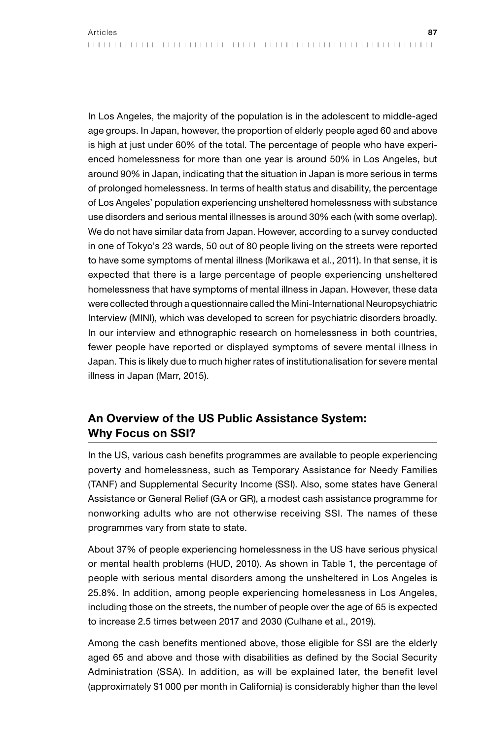In Los Angeles, the majority of the population is in the adolescent to middle-aged age groups. In Japan, however, the proportion of elderly people aged 60 and above is high at just under 60% of the total. The percentage of people who have experienced homelessness for more than one year is around 50% in Los Angeles, but around 90% in Japan, indicating that the situation in Japan is more serious in terms of prolonged homelessness. In terms of health status and disability, the percentage of Los Angeles' population experiencing unsheltered homelessness with substance use disorders and serious mental illnesses is around 30% each (with some overlap). We do not have similar data from Japan. However, according to a survey conducted in one of Tokyo's 23 wards, 50 out of 80 people living on the streets were reported to have some symptoms of mental illness (Morikawa et al., 2011). In that sense, it is expected that there is a large percentage of people experiencing unsheltered homelessness that have symptoms of mental illness in Japan. However, these data were collected through a questionnaire called the Mini-International Neuropsychiatric Interview (MINI), which was developed to screen for psychiatric disorders broadly. In our interview and ethnographic research on homelessness in both countries, fewer people have reported or displayed symptoms of severe mental illness in Japan. This is likely due to much higher rates of institutionalisation for severe mental illness in Japan (Marr, 2015).

## An Overview of the US Public Assistance System: Why Focus on SSI?

In the US, various cash benefits programmes are available to people experiencing poverty and homelessness, such as Temporary Assistance for Needy Families (TANF) and Supplemental Security Income (SSI). Also, some states have General Assistance or General Relief (GA or GR), a modest cash assistance programme for nonworking adults who are not otherwise receiving SSI. The names of these programmes vary from state to state.

About 37% of people experiencing homelessness in the US have serious physical or mental health problems (HUD, 2010). As shown in Table 1, the percentage of people with serious mental disorders among the unsheltered in Los Angeles is 25.8%. In addition, among people experiencing homelessness in Los Angeles, including those on the streets, the number of people over the age of 65 is expected to increase 2.5 times between 2017 and 2030 (Culhane et al., 2019).

Among the cash benefits mentioned above, those eligible for SSI are the elderly aged 65 and above and those with disabilities as defined by the Social Security Administration (SSA). In addition, as will be explained later, the benefit level (approximately \$1000 per month in California) is considerably higher than the level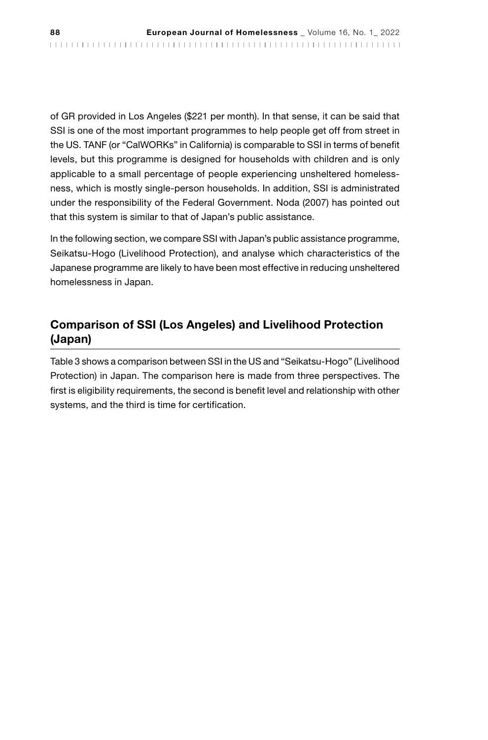of GR provided in Los Angeles (\$221 per month). In that sense, it can be said that SSI is one of the most important programmes to help people get off from street in the US. TANF (or "CalWORKs" in California) is comparable to SSI in terms of benefit levels, but this programme is designed for households with children and is only applicable to a small percentage of people experiencing unsheltered homelessness, which is mostly single-person households. In addition, SSI is administrated under the responsibility of the Federal Government. Noda (2007) has pointed out that this system is similar to that of Japan's public assistance.

In the following section, we compare SSI with Japan's public assistance programme, Seikatsu-Hogo (Livelihood Protection), and analyse which characteristics of the Japanese programme are likely to have been most effective in reducing unsheltered homelessness in Japan.

## Comparison of SSI (Los Angeles) and Livelihood Protection (Japan)

Table 3 shows a comparison between SSI in the US and "Seikatsu-Hogo" (Livelihood Protection) in Japan. The comparison here is made from three perspectives. The first is eligibility requirements, the second is benefit level and relationship with other systems, and the third is time for certification.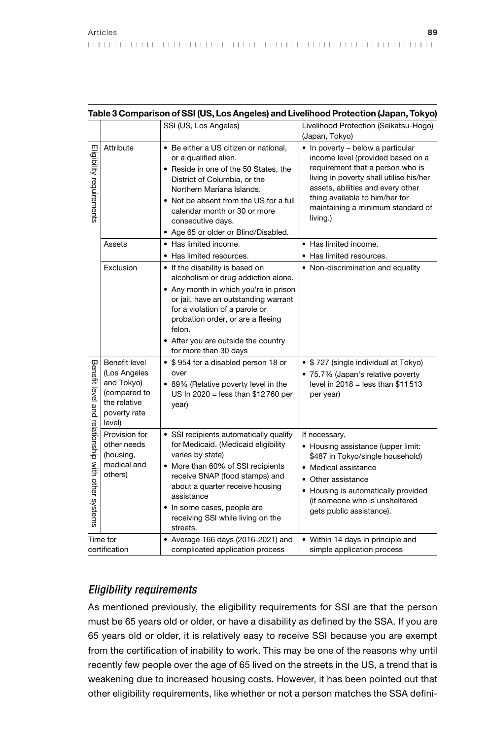|                                                   |                                                                                                                                                                                                                                                                                                                             |                                                                                                                                                                                                                                                                                                           | Table 3 Comparison of SSI (US, Los Angeles) and Livelihood Protection (Japan, Tokyo)                                                                                                                                                                                          |
|---------------------------------------------------|-----------------------------------------------------------------------------------------------------------------------------------------------------------------------------------------------------------------------------------------------------------------------------------------------------------------------------|-----------------------------------------------------------------------------------------------------------------------------------------------------------------------------------------------------------------------------------------------------------------------------------------------------------|-------------------------------------------------------------------------------------------------------------------------------------------------------------------------------------------------------------------------------------------------------------------------------|
|                                                   |                                                                                                                                                                                                                                                                                                                             | SSI (US, Los Angeles)                                                                                                                                                                                                                                                                                     | Livelihood Protection (Seikatsu-Hogo)<br>(Japan, Tokyo)                                                                                                                                                                                                                       |
| Eligibility requirements                          | Attribute<br>• Be either a US citizen or national.<br>or a qualified alien.<br>• Reside in one of the 50 States, the<br>District of Columbia, or the<br>Northern Mariana Islands.<br>Not be absent from the US for a full<br>٠<br>calendar month or 30 or more<br>consecutive days.<br>• Age 65 or older or Blind/Disabled. |                                                                                                                                                                                                                                                                                                           | • In poverty - below a particular<br>income level (provided based on a<br>requirement that a person who is<br>living in poverty shall utilise his/her<br>assets, abilities and every other<br>thing available to him/her for<br>maintaining a minimum standard of<br>living.) |
|                                                   | Assets                                                                                                                                                                                                                                                                                                                      | • Has limited income.<br>• Has limited resources.                                                                                                                                                                                                                                                         | • Has limited income.<br>• Has limited resources.                                                                                                                                                                                                                             |
|                                                   | Exclusion                                                                                                                                                                                                                                                                                                                   | • If the disability is based on<br>alcoholism or drug addiction alone.<br>• Any month in which you're in prison<br>or jail, have an outstanding warrant<br>for a violation of a parole or<br>probation order, or are a fleeing<br>felon.<br>• After you are outside the country<br>for more than 30 days  | • Non-discrimination and equality                                                                                                                                                                                                                                             |
| Benefit level and relationship with other systems | Benefit level<br>(Los Angeles<br>and Tokyo)<br>(compared to<br>the relative<br>poverty rate<br>level)                                                                                                                                                                                                                       | • \$954 for a disabled person 18 or<br>over<br>• 89% (Relative poverty level in the<br>US In 2020 = less than \$12760 per<br>year)                                                                                                                                                                        | • \$727 (single individual at Tokyo)<br>• 75.7% (Japan's relative poverty<br>level in $2018 =$ less than \$11513<br>per year)                                                                                                                                                 |
|                                                   | Provision for<br>other needs<br>(housing,<br>medical and<br>others)                                                                                                                                                                                                                                                         | • SSI recipients automatically qualify<br>for Medicaid. (Medicaid eligibility<br>varies by state)<br>• More than 60% of SSI recipients<br>receive SNAP (food stamps) and<br>about a quarter receive housing<br>assistance<br>• In some cases, people are<br>receiving SSI while living on the<br>streets. | If necessary,<br>• Housing assistance (upper limit:<br>\$487 in Tokyo/single household)<br>• Medical assistance<br>• Other assistance<br>• Housing is automatically provided<br>(if someone who is unsheltered<br>gets public assistance).                                    |
| Time for<br>certification                         |                                                                                                                                                                                                                                                                                                                             | • Average 166 days (2016-2021) and<br>complicated application process                                                                                                                                                                                                                                     | • Within 14 days in principle and<br>simple application process                                                                                                                                                                                                               |

## *Eligibility requirements*

As mentioned previously, the eligibility requirements for SSI are that the person must be 65 years old or older, or have a disability as defined by the SSA. If you are 65 years old or older, it is relatively easy to receive SSI because you are exempt from the certification of inability to work. This may be one of the reasons why until recently few people over the age of 65 lived on the streets in the US, a trend that is weakening due to increased housing costs. However, it has been pointed out that other eligibility requirements, like whether or not a person matches the SSA defini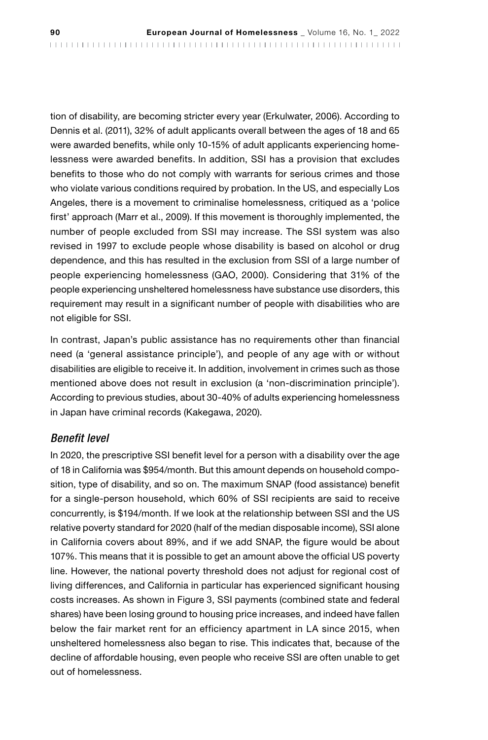tion of disability, are becoming stricter every year (Erkulwater, 2006). According to Dennis et al. (2011), 32% of adult applicants overall between the ages of 18 and 65 were awarded benefits, while only 10-15% of adult applicants experiencing homelessness were awarded benefits. In addition, SSI has a provision that excludes benefits to those who do not comply with warrants for serious crimes and those who violate various conditions required by probation. In the US, and especially Los Angeles, there is a movement to criminalise homelessness, critiqued as a 'police first' approach (Marr et al., 2009). If this movement is thoroughly implemented, the number of people excluded from SSI may increase. The SSI system was also revised in 1997 to exclude people whose disability is based on alcohol or drug dependence, and this has resulted in the exclusion from SSI of a large number of people experiencing homelessness (GAO, 2000). Considering that 31% of the people experiencing unsheltered homelessness have substance use disorders, this requirement may result in a significant number of people with disabilities who are not eligible for SSI.

In contrast, Japan's public assistance has no requirements other than financial need (a 'general assistance principle'), and people of any age with or without disabilities are eligible to receive it. In addition, involvement in crimes such as those mentioned above does not result in exclusion (a 'non-discrimination principle'). According to previous studies, about 30-40% of adults experiencing homelessness in Japan have criminal records (Kakegawa, 2020).

### *Benefit level*

In 2020, the prescriptive SSI benefit level for a person with a disability over the age of 18 in California was \$954/month. But this amount depends on household composition, type of disability, and so on. The maximum SNAP (food assistance) benefit for a single-person household, which 60% of SSI recipients are said to receive concurrently, is \$194/month. If we look at the relationship between SSI and the US relative poverty standard for 2020 (half of the median disposable income), SSI alone in California covers about 89%, and if we add SNAP, the figure would be about 107%. This means that it is possible to get an amount above the official US poverty line. However, the national poverty threshold does not adjust for regional cost of living differences, and California in particular has experienced significant housing costs increases. As shown in Figure 3, SSI payments (combined state and federal shares) have been losing ground to housing price increases, and indeed have fallen below the fair market rent for an efficiency apartment in LA since 2015, when unsheltered homelessness also began to rise. This indicates that, because of the decline of affordable housing, even people who receive SSI are often unable to get out of homelessness.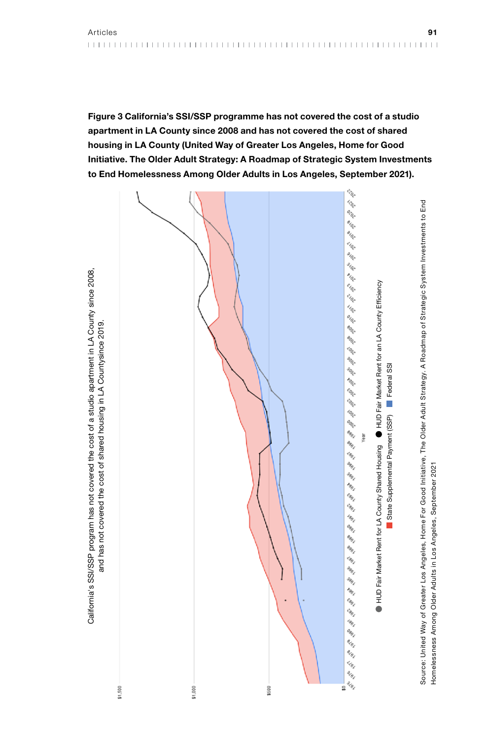Figure 3 California's SSI/SSP programme has not covered the cost of a studio apartment in LA County since 2008 and has not covered the cost of shared housing in LA County (United Way of Greater Los Angeles, Home for Good Initiative. The Older Adult Strategy: A Roadmap of Strategic System Investments to End Homelessness Among Older Adults in Los Angeles, September 2021).



Homelessness Among Older Adults in Los Angeles, September 2021

Homelessness Among Older Adults in Los Angeles, September 2021

California's SSI/SSP program has not covered the cost of a studio apartment in LA County since 2008.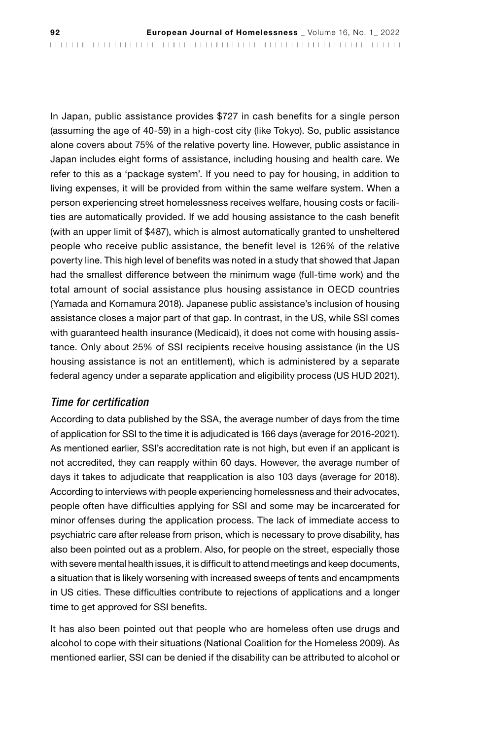In Japan, public assistance provides \$727 in cash benefits for a single person (assuming the age of 40-59) in a high-cost city (like Tokyo). So, public assistance alone covers about 75% of the relative poverty line. However, public assistance in Japan includes eight forms of assistance, including housing and health care. We refer to this as a 'package system'. If you need to pay for housing, in addition to living expenses, it will be provided from within the same welfare system. When a person experiencing street homelessness receives welfare, housing costs or facilities are automatically provided. If we add housing assistance to the cash benefit (with an upper limit of \$487), which is almost automatically granted to unsheltered people who receive public assistance, the benefit level is 126% of the relative poverty line. This high level of benefits was noted in a study that showed that Japan had the smallest difference between the minimum wage (full-time work) and the total amount of social assistance plus housing assistance in OECD countries (Yamada and Komamura 2018). Japanese public assistance's inclusion of housing assistance closes a major part of that gap. In contrast, in the US, while SSI comes with guaranteed health insurance (Medicaid), it does not come with housing assistance. Only about 25% of SSI recipients receive housing assistance (in the US housing assistance is not an entitlement), which is administered by a separate federal agency under a separate application and eligibility process (US HUD 2021).

### *Time for certification*

According to data published by the SSA, the average number of days from the time of application for SSI to the time it is adjudicated is 166 days (average for 2016-2021). As mentioned earlier, SSI's accreditation rate is not high, but even if an applicant is not accredited, they can reapply within 60 days. However, the average number of days it takes to adjudicate that reapplication is also 103 days (average for 2018). According to interviews with people experiencing homelessness and their advocates, people often have difficulties applying for SSI and some may be incarcerated for minor offenses during the application process. The lack of immediate access to psychiatric care after release from prison, which is necessary to prove disability, has also been pointed out as a problem. Also, for people on the street, especially those with severe mental health issues, it is difficult to attend meetings and keep documents, a situation that is likely worsening with increased sweeps of tents and encampments in US cities. These difficulties contribute to rejections of applications and a longer time to get approved for SSI benefits.

It has also been pointed out that people who are homeless often use drugs and alcohol to cope with their situations (National Coalition for the Homeless 2009). As mentioned earlier, SSI can be denied if the disability can be attributed to alcohol or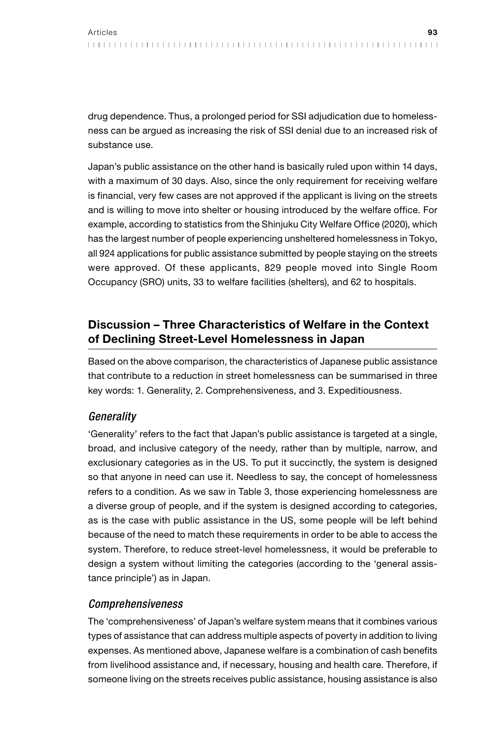drug dependence. Thus, a prolonged period for SSI adjudication due to homelessness can be argued as increasing the risk of SSI denial due to an increased risk of substance use.

Japan's public assistance on the other hand is basically ruled upon within 14 days, with a maximum of 30 days. Also, since the only requirement for receiving welfare is financial, very few cases are not approved if the applicant is living on the streets and is willing to move into shelter or housing introduced by the welfare office. For example, according to statistics from the Shinjuku City Welfare Office (2020), which has the largest number of people experiencing unsheltered homelessness in Tokyo, all 924 applications for public assistance submitted by people staying on the streets were approved. Of these applicants, 829 people moved into Single Room Occupancy (SRO) units, 33 to welfare facilities (shelters), and 62 to hospitals.

## Discussion – Three Characteristics of Welfare in the Context of Declining Street-Level Homelessness in Japan

Based on the above comparison, the characteristics of Japanese public assistance that contribute to a reduction in street homelessness can be summarised in three key words: 1. Generality, 2. Comprehensiveness, and 3. Expeditiousness.

### *Generality*

'Generality' refers to the fact that Japan's public assistance is targeted at a single, broad, and inclusive category of the needy, rather than by multiple, narrow, and exclusionary categories as in the US. To put it succinctly, the system is designed so that anyone in need can use it. Needless to say, the concept of homelessness refers to a condition. As we saw in Table 3, those experiencing homelessness are a diverse group of people, and if the system is designed according to categories, as is the case with public assistance in the US, some people will be left behind because of the need to match these requirements in order to be able to access the system. Therefore, to reduce street-level homelessness, it would be preferable to design a system without limiting the categories (according to the 'general assistance principle') as in Japan.

### *Comprehensiveness*

The 'comprehensiveness' of Japan's welfare system means that it combines various types of assistance that can address multiple aspects of poverty in addition to living expenses. As mentioned above, Japanese welfare is a combination of cash benefits from livelihood assistance and, if necessary, housing and health care. Therefore, if someone living on the streets receives public assistance, housing assistance is also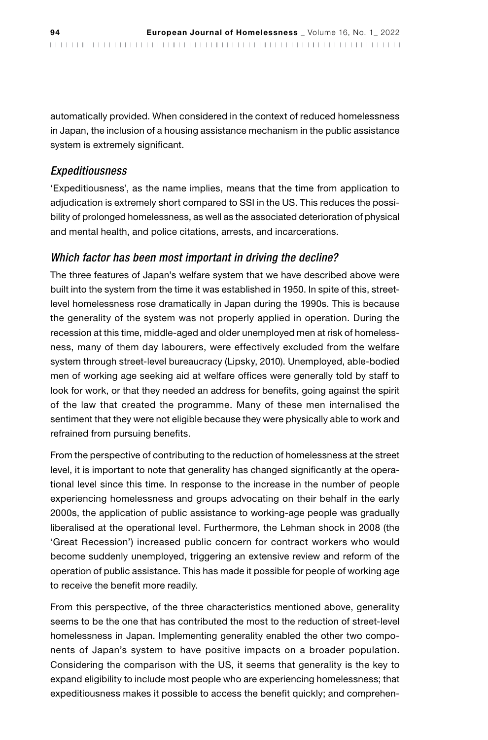automatically provided. When considered in the context of reduced homelessness in Japan, the inclusion of a housing assistance mechanism in the public assistance system is extremely significant.

#### *Expeditiousness*

'Expeditiousness', as the name implies, means that the time from application to adjudication is extremely short compared to SSI in the US. This reduces the possibility of prolonged homelessness, as well as the associated deterioration of physical and mental health, and police citations, arrests, and incarcerations.

### *Which factor has been most important in driving the decline?*

The three features of Japan's welfare system that we have described above were built into the system from the time it was established in 1950. In spite of this, streetlevel homelessness rose dramatically in Japan during the 1990s. This is because the generality of the system was not properly applied in operation. During the recession at this time, middle-aged and older unemployed men at risk of homelessness, many of them day labourers, were effectively excluded from the welfare system through street-level bureaucracy (Lipsky, 2010). Unemployed, able-bodied men of working age seeking aid at welfare offices were generally told by staff to look for work, or that they needed an address for benefits, going against the spirit of the law that created the programme. Many of these men internalised the sentiment that they were not eligible because they were physically able to work and refrained from pursuing benefits.

From the perspective of contributing to the reduction of homelessness at the street level, it is important to note that generality has changed significantly at the operational level since this time. In response to the increase in the number of people experiencing homelessness and groups advocating on their behalf in the early 2000s, the application of public assistance to working-age people was gradually liberalised at the operational level. Furthermore, the Lehman shock in 2008 (the 'Great Recession') increased public concern for contract workers who would become suddenly unemployed, triggering an extensive review and reform of the operation of public assistance. This has made it possible for people of working age to receive the benefit more readily.

From this perspective, of the three characteristics mentioned above, generality seems to be the one that has contributed the most to the reduction of street-level homelessness in Japan. Implementing generality enabled the other two components of Japan's system to have positive impacts on a broader population. Considering the comparison with the US, it seems that generality is the key to expand eligibility to include most people who are experiencing homelessness; that expeditiousness makes it possible to access the benefit quickly; and comprehen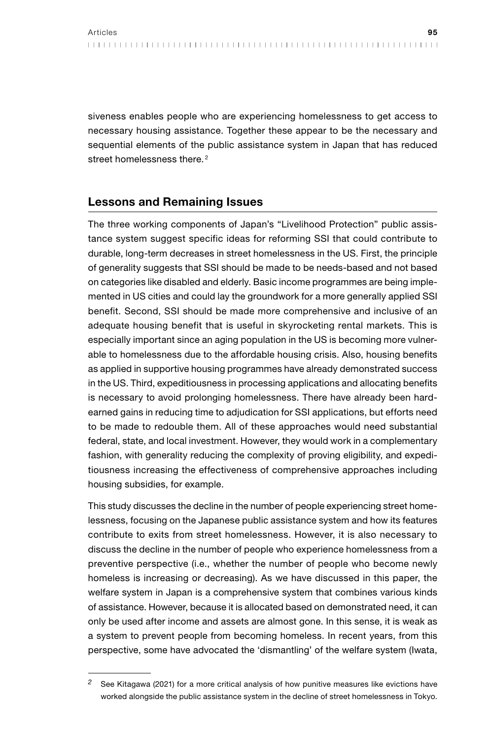siveness enables people who are experiencing homelessness to get access to necessary housing assistance. Together these appear to be the necessary and sequential elements of the public assistance system in Japan that has reduced street homelessness there.<sup>2</sup>

## Lessons and Remaining Issues

The three working components of Japan's "Livelihood Protection" public assistance system suggest specific ideas for reforming SSI that could contribute to durable, long-term decreases in street homelessness in the US. First, the principle of generality suggests that SSI should be made to be needs-based and not based on categories like disabled and elderly. Basic income programmes are being implemented in US cities and could lay the groundwork for a more generally applied SSI benefit. Second, SSI should be made more comprehensive and inclusive of an adequate housing benefit that is useful in skyrocketing rental markets. This is especially important since an aging population in the US is becoming more vulnerable to homelessness due to the affordable housing crisis. Also, housing benefits as applied in supportive housing programmes have already demonstrated success in the US. Third, expeditiousness in processing applications and allocating benefits is necessary to avoid prolonging homelessness. There have already been hardearned gains in reducing time to adjudication for SSI applications, but efforts need to be made to redouble them. All of these approaches would need substantial federal, state, and local investment. However, they would work in a complementary fashion, with generality reducing the complexity of proving eligibility, and expeditiousness increasing the effectiveness of comprehensive approaches including housing subsidies, for example.

This study discusses the decline in the number of people experiencing street homelessness, focusing on the Japanese public assistance system and how its features contribute to exits from street homelessness. However, it is also necessary to discuss the decline in the number of people who experience homelessness from a preventive perspective (i.e., whether the number of people who become newly homeless is increasing or decreasing). As we have discussed in this paper, the welfare system in Japan is a comprehensive system that combines various kinds of assistance. However, because it is allocated based on demonstrated need, it can only be used after income and assets are almost gone. In this sense, it is weak as a system to prevent people from becoming homeless. In recent years, from this perspective, some have advocated the 'dismantling' of the welfare system (Iwata,

*<sup>2</sup>* See Kitagawa (2021) for a more critical analysis of how punitive measures like evictions have worked alongside the public assistance system in the decline of street homelessness in Tokyo.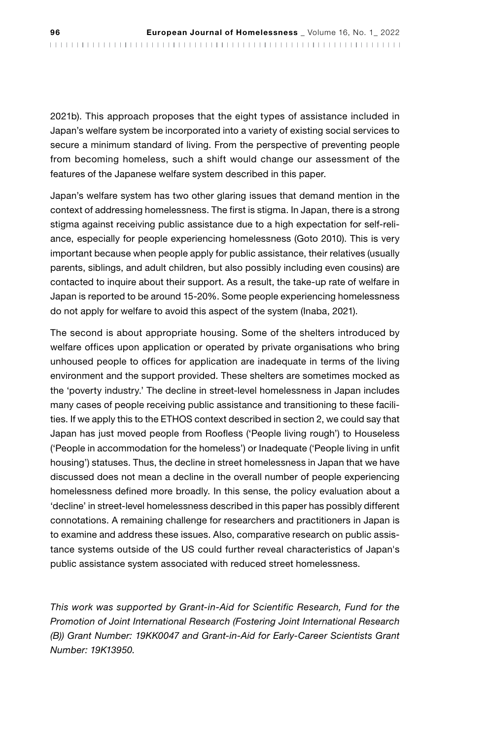2021b). This approach proposes that the eight types of assistance included in Japan's welfare system be incorporated into a variety of existing social services to secure a minimum standard of living. From the perspective of preventing people from becoming homeless, such a shift would change our assessment of the features of the Japanese welfare system described in this paper.

Japan's welfare system has two other glaring issues that demand mention in the context of addressing homelessness. The first is stigma. In Japan, there is a strong stigma against receiving public assistance due to a high expectation for self-reliance, especially for people experiencing homelessness (Goto 2010). This is very important because when people apply for public assistance, their relatives (usually parents, siblings, and adult children, but also possibly including even cousins) are contacted to inquire about their support. As a result, the take-up rate of welfare in Japan is reported to be around 15-20%. Some people experiencing homelessness do not apply for welfare to avoid this aspect of the system (Inaba, 2021).

The second is about appropriate housing. Some of the shelters introduced by welfare offices upon application or operated by private organisations who bring unhoused people to offices for application are inadequate in terms of the living environment and the support provided. These shelters are sometimes mocked as the 'poverty industry.' The decline in street-level homelessness in Japan includes many cases of people receiving public assistance and transitioning to these facilities. If we apply this to the ETHOS context described in section 2, we could say that Japan has just moved people from Roofless ('People living rough') to Houseless ('People in accommodation for the homeless') or Inadequate ('People living in unfit housing') statuses. Thus, the decline in street homelessness in Japan that we have discussed does not mean a decline in the overall number of people experiencing homelessness defined more broadly. In this sense, the policy evaluation about a 'decline' in street-level homelessness described in this paper has possibly different connotations. A remaining challenge for researchers and practitioners in Japan is to examine and address these issues. Also, comparative research on public assistance systems outside of the US could further reveal characteristics of Japan's public assistance system associated with reduced street homelessness.

*This work was supported by Grant-in-Aid for Scientific Research, Fund for the Promotion of Joint International Research (Fostering Joint International Research (B)) Grant Number: 19KK0047 and Grant-in-Aid for Early-Career Scientists Grant Number: 19K13950.*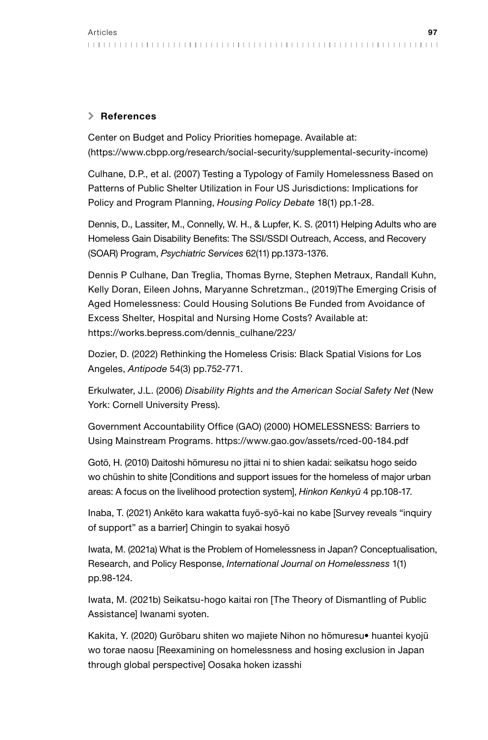### \ References

Center on Budget and Policy Priorities homepage. Available at: (<https://www.cbpp.org/research/social-security/supplemental-security-income>)

Culhane, D.P., et al. (2007) Testing a Typology of Family Homelessness Based on Patterns of Public Shelter Utilization in Four US Jurisdictions: Implications for Policy and Program Planning, *Housing Policy Debate* 18(1) pp.1-28.

Dennis, D., Lassiter, M., Connelly, W. H., & Lupfer, K. S. (2011) Helping Adults who are Homeless Gain Disability Benefits: The SSI/SSDI Outreach, Access, and Recovery (SOAR) Program, *Psychiatric Services* 62(11) pp.1373-1376.

Dennis P Culhane, Dan Treglia, Thomas Byrne, Stephen Metraux, Randall Kuhn, Kelly Doran, Eileen Johns, Maryanne Schretzman., (2019)The Emerging Crisis of Aged Homelessness: Could Housing Solutions Be Funded from Avoidance of Excess Shelter, Hospital and Nursing Home Costs? Available at: https://works.bepress.com/dennis\_culhane/223/

Dozier, D. (2022) Rethinking the Homeless Crisis: Black Spatial Visions for Los Angeles, *Antipode* 54(3) pp.752-771.

Erkulwater, J.L. (2006) *Disability Rights and the American Social Safety Net* (New York: Cornell University Press).

Government Accountability Office (GAO) (2000) HOMELESSNESS: Barriers to Using Mainstream Programs. https://www.gao.gov/assets/rced-00-184.pdf

Gotō, H. (2010) Daitoshi hōmuresu no jittai ni to shien kadai: seikatsu hogo seido wo chūshin to shite [Conditions and support issues for the homeless of major urban areas: A focus on the livelihood protection system], *Hinkon Kenkyū* 4 pp.108-17.

Inaba, T. (2021) Ankēto kara wakatta fuyō-syō-kai no kabe [Survey reveals "inquiry of support" as a barrier] Chingin to syakai hosyō

Iwata, M. (2021a) What is the Problem of Homelessness in Japan? Conceptualisation, Research, and Policy Response, *International Journal on Homelessness* 1(1) pp.98-124.

Iwata, M. (2021b) Seikatsu-hogo kaitai ron [The Theory of Dismantling of Public Assistance] Iwanami syoten.

Kakita, Y. (2020) Gurōbaru shiten wo majiete Nihon no hōmuresu• huantei kyojū wo torae naosu [Reexamining on homelessness and hosing exclusion in Japan through global perspective] Oosaka hoken izasshi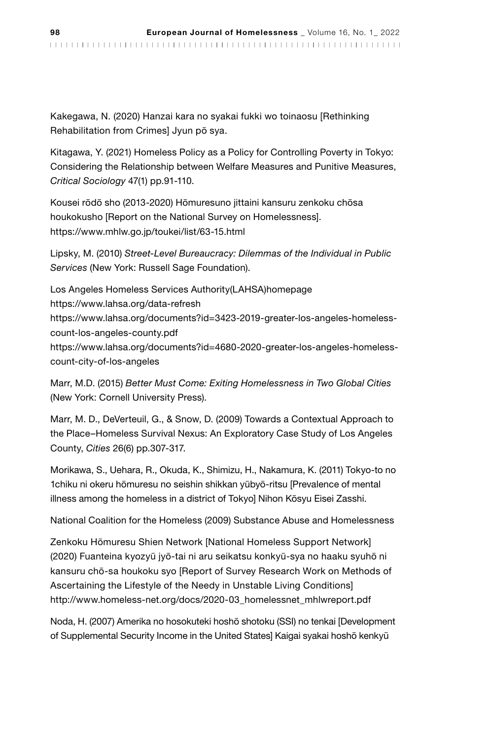Kakegawa, N. (2020) Hanzai kara no syakai fukki wo toinaosu [Rethinking Rehabilitation from Crimes] Jyun pō sya.

Kitagawa, Y. (2021) Homeless Policy as a Policy for Controlling Poverty in Tokyo: Considering the Relationship between Welfare Measures and Punitive Measures, *Critical Sociology* 47(1) pp.91-110.

Kousei rōdō sho (2013-2020) Hōmuresuno jittaini kansuru zenkoku chōsa houkokusho [Report on the National Survey on Homelessness]. https://www.mhlw.go.jp/toukei/list/63-15.html

Lipsky, M. (2010) *Street-Level Bureaucracy: Dilemmas of the Individual in Public Services* (New York: Russell Sage Foundation).

Los Angeles Homeless Services Authority(LAHSA)homepage <https://www.lahsa.org/data-refresh> [https://www.lahsa.org/documents?id=3423-2019-greater-los-angeles-homeless](https://www.lahsa.org/documents?id=3423-2019-greater-los-angeles-homeless-count-los-angeles-county.pdf)[count-los-angeles-county.pdf](https://www.lahsa.org/documents?id=3423-2019-greater-los-angeles-homeless-count-los-angeles-county.pdf) [https://www.lahsa.org/documents?id=4680-2020-greater-los-angeles-homeless](https://www.lahsa.org/documents?id=4680-2020-greater-los-angeles-homeless-count-city-of-los-angeles)[count-city-of-los-angeles](https://www.lahsa.org/documents?id=4680-2020-greater-los-angeles-homeless-count-city-of-los-angeles) 

Marr, M.D. (2015) *Better Must Come: Exiting Homelessness in Two Global Cities* (New York: Cornell University Press).

Marr, M. D., DeVerteuil, G., & Snow, D. (2009) Towards a Contextual Approach to the Place–Homeless Survival Nexus: An Exploratory Case Study of Los Angeles County, *Cities* 26(6) pp.307-317.

Morikawa, S., Uehara, R., Okuda, K., Shimizu, H., Nakamura, K. (2011) Tokyo-to no 1chiku ni okeru hōmuresu no seishin shikkan yūbyō-ritsu [Prevalence of mental illness among the homeless in a district of Tokyo] Nihon Kōsyu Eisei Zasshi.

National Coalition for the Homeless (2009) Substance Abuse and Homelessness

Zenkoku Hōmuresu Shien Network [National Homeless Support Network] (2020) Fuanteina kyozyū jyō-tai ni aru seikatsu konkyū-sya no haaku syuhō ni kansuru chō-sa houkoku syo [Report of Survey Research Work on Methods of Ascertaining the Lifestyle of the Needy in Unstable Living Conditions] http://www.homeless-net.org/docs/2020-03\_homelessnet\_mhlwreport.pdf

Noda, H. (2007) Amerika no hosokuteki hoshō shotoku (SSI) no tenkai [Development of Supplemental Security Income in the United States] Kaigai syakai hoshō kenkyū